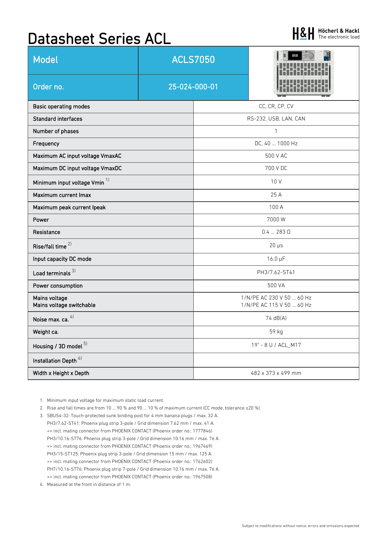# Datasheet Series ACL

| <b>Model</b>                              | <b>ACLS7050</b> |                                                        |  |  |
|-------------------------------------------|-----------------|--------------------------------------------------------|--|--|
| Order no.                                 | 25-024-000-01   |                                                        |  |  |
| <b>Basic operating modes</b>              |                 | CC, CR, CP, CV                                         |  |  |
| <b>Standard interfaces</b>                |                 | RS-232, USB, LAN, CAN                                  |  |  |
| Number of phases                          |                 | $\mathbf{1}$                                           |  |  |
| Frequency                                 |                 | DC, 40  1000 Hz                                        |  |  |
| Maximum AC input voltage VmaxAC           |                 | 500 V AC                                               |  |  |
| Maximum DC input voltage VmaxDC           |                 | 700 V DC                                               |  |  |
| Minimum input voltage Vmin <sup>1)</sup>  |                 | 10 V                                                   |  |  |
| Maximum current Imax                      |                 | 25 A                                                   |  |  |
| Maximum peak current Ipeak                |                 | 100 A                                                  |  |  |
| Power                                     |                 | 7000 W                                                 |  |  |
| Resistance                                |                 | $0.4283$ $\Omega$                                      |  |  |
| Rise/fall time <sup>2)</sup>              |                 | $20 \mu s$                                             |  |  |
| Input capacity DC mode                    |                 | $16.0 \mu F$                                           |  |  |
| Load terminals $3)$                       |                 | PH3/7.62-ST41                                          |  |  |
| Power consumption                         |                 | 500 VA                                                 |  |  |
| Mains voltage<br>Mains voltage switchable |                 | 1/N/PE AC 230 V 50  60 Hz<br>1/N/PE AC 115 V 50  60 Hz |  |  |
| Noise max. ca. 4)                         |                 | 74 dB(A)                                               |  |  |
| Weight ca.                                |                 | 59 kg                                                  |  |  |
| Housing / 3D model $5)$                   |                 | 19" - 8 U / ACL_M17                                    |  |  |
| Installation Depth <sup>6)</sup>          |                 |                                                        |  |  |
| Width x Height x Depth                    |                 | 482 x 373 x 499 mm                                     |  |  |

- 1. Minimum input voltage for maximum static load current.
- 2. Rise and fall times are from 10 ... 90 % and 90 ... 10 % of maximum current (CC mode, tolerance ±20 %).
- 3. SBUS4-32: Touch-protected sunk binding post for 4 mm banana plugs / max. 32 A. PH3/7.62-ST41: Phoenix plug strip 3-pole / Grid dimension 7.62 mm / max. 41 A. => incl. mating connector from PHOENIX CONTACT (Phoenix order no.: 1777846) PH3/10.16-ST76: Phoenix plug strip 3-pole / Grid dimension 10.16 mm / max. 76 A. => incl. mating connector from PHOENIX CONTACT (Phoenix order no.: 1967469) PH3/15-ST125: Phoenix plug strip 3-pole / Grid dimension 15 mm / max. 125 A. => incl. mating connector from PHOENIX CONTACT (Phoenix order no.: 1762602) PH7/10.16-ST76: Phoenix plug strip 7-pole / Grid dimension 10.16 mm / max. 76 A. => incl. mating connector from PHOENIX CONTACT (Phoenix order no.: 1967508)
- 4. Measured at the front in distance of 1 m.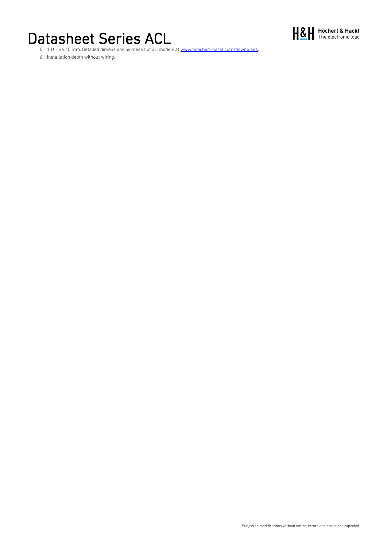## Datasheet Series ACL



5. 1 U = 44.45 mm. Detailed dimensions by means of 3D models at www.hoecherl-hackl.com/downloads.

6. Installation depth without wiring.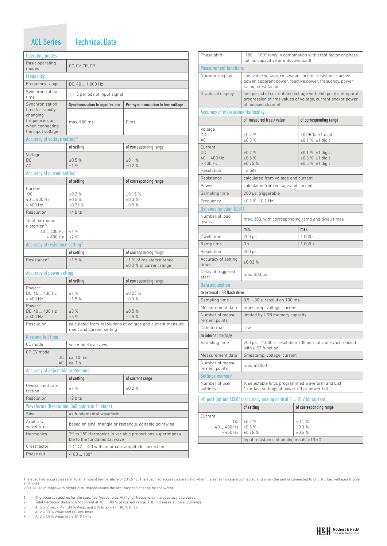#### ACL Series

#### **Technical Data**

| <b>Operating modes</b>                       |                                                                                                                   |                                                             |  |
|----------------------------------------------|-------------------------------------------------------------------------------------------------------------------|-------------------------------------------------------------|--|
| Basic operating                              | CC, CV, CR, CP                                                                                                    |                                                             |  |
| modes                                        |                                                                                                                   |                                                             |  |
| Frequency                                    |                                                                                                                   |                                                             |  |
| Frequency range                              | DC, 40  1,000 Hz                                                                                                  |                                                             |  |
| Synchronization<br>time                      | 1  5 periods of input signal                                                                                      |                                                             |  |
| Synchronization<br>time for rapidly          | Synchronization to input/extern                                                                                   | Pre-synchronization to line voltage                         |  |
| changing                                     |                                                                                                                   |                                                             |  |
| frequencies or                               | max. 500 ms                                                                                                       | 0 <sub>ms</sub>                                             |  |
| when connecting<br>the input voltage         |                                                                                                                   |                                                             |  |
| Accuracy of voltage setting <sup>1)</sup>    |                                                                                                                   |                                                             |  |
|                                              | of setting                                                                                                        | of corresponding range                                      |  |
| Voltage                                      |                                                                                                                   |                                                             |  |
| DC                                           | ±0.5%                                                                                                             | ±0.1%                                                       |  |
| AC                                           | ±1%                                                                                                               | ±0.2%                                                       |  |
| Accuracy of current setting <sup>1)</sup>    |                                                                                                                   |                                                             |  |
|                                              | of setting                                                                                                        | of corresponding range                                      |  |
| Current<br>DC                                | ±0.2%                                                                                                             | ±0.15%                                                      |  |
| 40  400 Hz                                   | ±0.5%                                                                                                             | ±0.3%                                                       |  |
| $>400$ Hz                                    | ±0.75%                                                                                                            | $+0.5%$                                                     |  |
| Resolution                                   | 14 bits                                                                                                           |                                                             |  |
| Total harmonic<br>distortion <sup>2</sup>    |                                                                                                                   |                                                             |  |
| 40  400 Hz                                   | <1%                                                                                                               |                                                             |  |
| $>400$ Hz                                    | $-2\%$                                                                                                            |                                                             |  |
| Accuracy of resistance setting <sup>1)</sup> |                                                                                                                   |                                                             |  |
|                                              | of setting                                                                                                        | of corresponding range                                      |  |
| Resistance <sup>3)</sup>                     | ±1.5%                                                                                                             | ±1 % of resistance range<br>$\pm 0.3$ % of current range    |  |
| Accuracy of power setting <sup>17</sup>      |                                                                                                                   |                                                             |  |
|                                              | of setting                                                                                                        | of corresponding range                                      |  |
| Power <sup>4)</sup><br>DC, 40  400 Hz        | ±1%                                                                                                               | ±0.25%                                                      |  |
| > 400 Hz                                     | ±1.5%                                                                                                             | ±0.3%                                                       |  |
| Power <sup>5)</sup>                          |                                                                                                                   |                                                             |  |
| DC, 40  400 Hz<br>$>400$ Hz                  | ±3%<br>±5%                                                                                                        | ±0.5%<br>±2.5%                                              |  |
| Resolution                                   |                                                                                                                   | calculated from resolutions of voltage and current measure- |  |
|                                              | ment and current setting                                                                                          |                                                             |  |
| <b>Rise and fall time</b>                    |                                                                                                                   |                                                             |  |
| CC mode                                      | see model overview                                                                                                |                                                             |  |
| CP. CV mode                                  |                                                                                                                   |                                                             |  |
| DC<br>AC                                     | ca. 10 ms<br>ca. 1 s                                                                                              |                                                             |  |
| Accuracy of adjustable protections           |                                                                                                                   |                                                             |  |
|                                              | of setting                                                                                                        | of current range                                            |  |
| Overcurrent pro-<br>tection                  | ±1%                                                                                                               | ±0.2%                                                       |  |
| Resolution                                   | 12 bits                                                                                                           |                                                             |  |
|                                              | Waveforms (Resolution: 360 points in 1° steps)                                                                    |                                                             |  |
| Sine                                         | as fundamental waveform                                                                                           |                                                             |  |
| Arbitrary                                    |                                                                                                                   |                                                             |  |
| waveforms                                    | based on sine, triangle or rectangle, editable pointwise                                                          |                                                             |  |
| Harmonics                                    | 2 <sup>nd</sup> to 25 <sup>th</sup> Harmonics in variable proportions superimposa-<br>ble to the fundamental wave |                                                             |  |
| Crest factor                                 | 1.4142  4.0 with automatic amplitude correction                                                                   |                                                             |  |
| Phase cut                                    | $-180180^{\circ}$                                                                                                 |                                                             |  |

| Phase shift                       | cut, no capacitive or inductive load)                                                                                                            | -180  180° (only in combination with crest factor or phase |  |  |
|-----------------------------------|--------------------------------------------------------------------------------------------------------------------------------------------------|------------------------------------------------------------|--|--|
| <b>Measurement functions</b>      |                                                                                                                                                  |                                                            |  |  |
| Numeric display                   | rms value voltage, rms value current, resistance, active<br>power, apparent power, reactive power, frequency, power<br>factor, crest factor      |                                                            |  |  |
| Graphical display                 | last period of current and voltage with 360 points, temporal<br>progression of rms values of voltage, current and/or power<br>of focused channel |                                                            |  |  |
| Accuracy of measurements/display  |                                                                                                                                                  |                                                            |  |  |
|                                   | of measured (real) value                                                                                                                         | of corresponding range                                     |  |  |
| Voltage                           |                                                                                                                                                  |                                                            |  |  |
| DC                                | $+0.2%$                                                                                                                                          | $\pm 0.05$ % $\pm 1$ digit                                 |  |  |
| AC.                               | ±0.3%                                                                                                                                            | $\pm 0.1$ % $\pm 1$ digit                                  |  |  |
| Current<br>DC.                    | ±0.2%                                                                                                                                            | $±0.1 % ±1$ digit                                          |  |  |
| 40  400 Hz                        | ±0.5%                                                                                                                                            | $±0.3 % ±1$ digit                                          |  |  |
| $>400$ Hz                         | ±0.75%                                                                                                                                           | ±0.5 % ±1 digit                                            |  |  |
| Resolution                        | 16 bits                                                                                                                                          |                                                            |  |  |
| Resistance                        |                                                                                                                                                  | calculated from voltage and current                        |  |  |
| Power                             | calculated from voltage and current                                                                                                              |                                                            |  |  |
| Sampling time                     | 200 µs, triggerable                                                                                                                              |                                                            |  |  |
| Frequency                         | $±0.1$ % $±0.1$ Hz                                                                                                                               |                                                            |  |  |
| <b>Dynamic function (LIST)</b>    |                                                                                                                                                  |                                                            |  |  |
| Number of load<br>levels          | max. 300, with corresponding ramp and dwell times                                                                                                |                                                            |  |  |
|                                   | min.                                                                                                                                             | max.                                                       |  |  |
| Dwell time                        | $200 \mu s$                                                                                                                                      | 1.000 s                                                    |  |  |
| Ramp time                         | 0 <sub>s</sub>                                                                                                                                   | 1.000 s                                                    |  |  |
| Resolution                        | $200 \mu s$                                                                                                                                      |                                                            |  |  |
| Accuracy of setting<br>times      | ±0.02%                                                                                                                                           |                                                            |  |  |
| Delay at triggered<br>start       | max. 300 µs                                                                                                                                      |                                                            |  |  |
| <b>Data acquisition</b>           |                                                                                                                                                  |                                                            |  |  |
| to external USB flash drive       |                                                                                                                                                  |                                                            |  |  |
| Sampling time                     | 0.5  30 s, resolution 100 ms                                                                                                                     |                                                            |  |  |
| Measurement data                  |                                                                                                                                                  | timestamp, voltage, current                                |  |  |
| Number of measu-<br>rement points | limited by USB memory capacity                                                                                                                   |                                                            |  |  |
| Dateiformat                       | .CSV                                                                                                                                             |                                                            |  |  |
| to internal memory                |                                                                                                                                                  |                                                            |  |  |
| Sampling time                     | 200 µs  1,000 s, resolution 200 µs, static or synchronized<br>with LIST function                                                                 |                                                            |  |  |
| Measurement data                  | timestamp, voltage, current                                                                                                                      |                                                            |  |  |
| Number of measu-<br>rement points | max. 40,000                                                                                                                                      |                                                            |  |  |
| <b>Settings memory</b>            |                                                                                                                                                  |                                                            |  |  |
| Number of user<br>settings        | 9, selectable (incl. programmed waveform and List)<br>1 for last settings at power-off or power fail                                             |                                                            |  |  |
|                                   | I/O port (option ACLO6): accuracy analog control 0  10 V for current                                                                             |                                                            |  |  |
|                                   | of setting                                                                                                                                       | of corresponding range                                     |  |  |
|                                   |                                                                                                                                                  |                                                            |  |  |
| Current<br>DC                     | $+0.2%$                                                                                                                                          | ±0.1%                                                      |  |  |
| 40  400 Hz                        | ±0.5%                                                                                                                                            | ±0.3%                                                      |  |  |
| $>400$ Hz                         | ±0.75%                                                                                                                                           | ±0.5%                                                      |  |  |
|                                   | Input resistance of analog inputs >10 kΩ                                                                                                         |                                                            |  |  |

The specified accuracies refer to an ambient temperature of 23 ±5 °C. The specified accuracies are valid when the sense lines are connected and when the unit is connected to undisturbed voltages (ripple<br>and noise<br>< 0.1 %).

- 
- 1. The accuracy applies for the specified frequencies. At higher frequencies the accuracy decreases.<br>2. Total harmonic distortion of current at 10 ... 100 % of current range. THD increases at lower currents.<br>3. At 5 % Vma
- 
- 
-